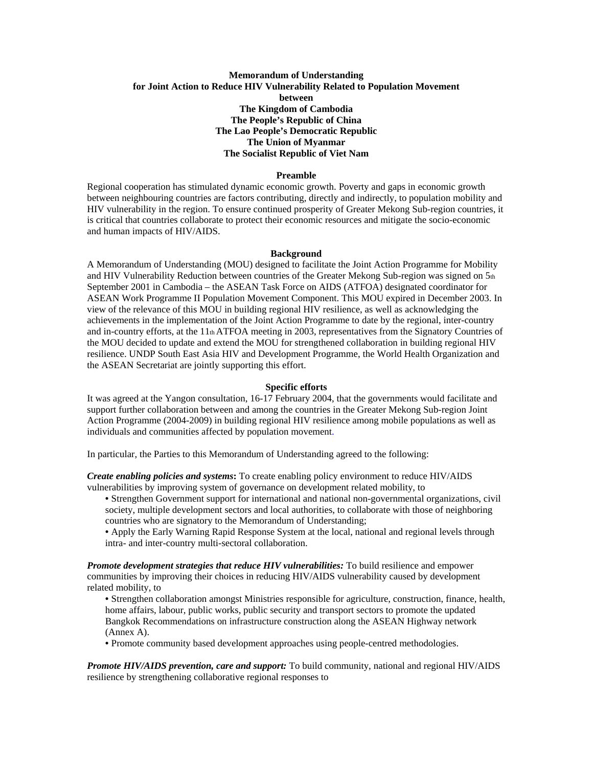# **Memorandum of Understanding for Joint Action to Reduce HIV Vulnerability Related to Population Movement between The Kingdom of Cambodia The People's Republic of China The Lao People's Democratic Republic The Union of Myanmar The Socialist Republic of Viet Nam**

### **Preamble**

Regional cooperation has stimulated dynamic economic growth. Poverty and gaps in economic growth between neighbouring countries are factors contributing, directly and indirectly, to population mobility and HIV vulnerability in the region. To ensure continued prosperity of Greater Mekong Sub-region countries, it is critical that countries collaborate to protect their economic resources and mitigate the socio-economic and human impacts of HIV/AIDS.

#### **Background**

A Memorandum of Understanding (MOU) designed to facilitate the Joint Action Programme for Mobility and HIV Vulnerability Reduction between countries of the Greater Mekong Sub-region was signed on 5th September 2001 in Cambodia – the ASEAN Task Force on AIDS (ATFOA) designated coordinator for ASEAN Work Programme II Population Movement Component. This MOU expired in December 2003. In view of the relevance of this MOU in building regional HIV resilience, as well as acknowledging the achievements in the implementation of the Joint Action Programme to date by the regional, inter-country and in-country efforts, at the  $11<sub>th</sub> ATFOA$  meeting in 2003, representatives from the Signatory Countries of the MOU decided to update and extend the MOU for strengthened collaboration in building regional HIV resilience. UNDP South East Asia HIV and Development Programme, the World Health Organization and the ASEAN Secretariat are jointly supporting this effort.

### **Specific efforts**

It was agreed at the Yangon consultation, 16-17 February 2004, that the governments would facilitate and support further collaboration between and among the countries in the Greater Mekong Sub-region Joint Action Programme (2004-2009) in building regional HIV resilience among mobile populations as well as individuals and communities affected by population movement.

In particular, the Parties to this Memorandum of Understanding agreed to the following:

*Create enabling policies and systems***:** To create enabling policy environment to reduce HIV/AIDS vulnerabilities by improving system of governance on development related mobility, to

- Strengthen Government support for international and national non-governmental organizations, civil society, multiple development sectors and local authorities, to collaborate with those of neighboring countries who are signatory to the Memorandum of Understanding;
- Apply the Early Warning Rapid Response System at the local, national and regional levels through intra- and inter-country multi-sectoral collaboration.

*Promote development strategies that reduce HIV vulnerabilities:* To build resilience and empower communities by improving their choices in reducing HIV/AIDS vulnerability caused by development related mobility, to

- Strengthen collaboration amongst Ministries responsible for agriculture, construction, finance, health, home affairs, labour, public works, public security and transport sectors to promote the updated Bangkok Recommendations on infrastructure construction along the ASEAN Highway network (Annex A).
- Promote community based development approaches using people-centred methodologies.

*Promote HIV/AIDS prevention, care and support:* To build community, national and regional HIV/AIDS resilience by strengthening collaborative regional responses to